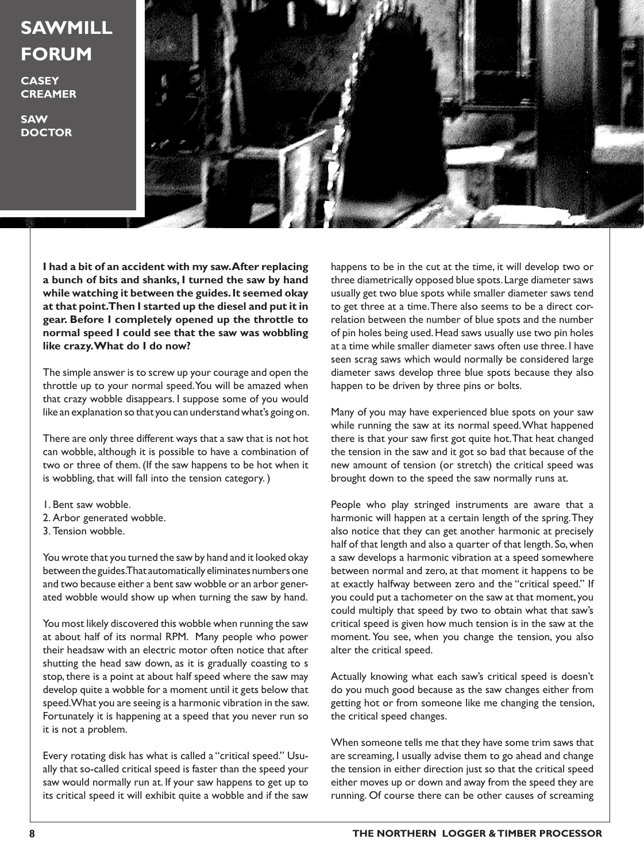## **SAWMILL FORUM**

**CASEY CREAMER**

**SAW DOCTOR**



**I had a bit of an accident with my saw. After replacing a bunch of bits and shanks, I turned the saw by hand while watching it between the guides. It seemed okay at that point. Then I started up the diesel and put it in gear. Before I completely opened up the throttle to normal speed I could see that the saw was wobbling like crazy. What do I do now?**

The simple answer is to screw up your courage and open the throttle up to your normal speed. You will be amazed when that crazy wobble disappears. I suppose some of you would like an explanation so that you can understand what's going on.

There are only three different ways that a saw that is not hot can wobble, although it is possible to have a combination of two or three of them. (If the saw happens to be hot when it is wobbling, that will fall into the tension category. )

- 1. Bent saw wobble.
- 2. Arbor generated wobble.
- 3. Tension wobble.

You wrote that you turned the saw by hand and it looked okay between the guides. That automatically eliminates numbers one and two because either a bent saw wobble or an arbor generated wobble would show up when turning the saw by hand.

You most likely discovered this wobble when running the saw at about half of its normal RPM. Many people who power their headsaw with an electric motor often notice that after shutting the head saw down, as it is gradually coasting to s stop, there is a point at about half speed where the saw may develop quite a wobble for a moment until it gets below that speed. What you are seeing is a harmonic vibration in the saw. Fortunately it is happening at a speed that you never run so it is not a problem.

Every rotating disk has what is called a "critical speed." Usually that so-called critical speed is faster than the speed your saw would normally run at. If your saw happens to get up to its critical speed it will exhibit quite a wobble and if the saw happens to be in the cut at the time, it will develop two or three diametrically opposed blue spots. Large diameter saws usually get two blue spots while smaller diameter saws tend to get three at a time. There also seems to be a direct correlation between the number of blue spots and the number of pin holes being used. Head saws usually use two pin holes at a time while smaller diameter saws often use three. I have seen scrag saws which would normally be considered large diameter saws develop three blue spots because they also happen to be driven by three pins or bolts.

Many of you may have experienced blue spots on your saw while running the saw at its normal speed. What happened there is that your saw first got quite hot. That heat changed the tension in the saw and it got so bad that because of the new amount of tension (or stretch) the critical speed was brought down to the speed the saw normally runs at.

People who play stringed instruments are aware that a harmonic will happen at a certain length of the spring. They also notice that they can get another harmonic at precisely half of that length and also a quarter of that length. So, when a saw develops a harmonic vibration at a speed somewhere between normal and zero, at that moment it happens to be at exactly halfway between zero and the "critical speed." If you could put a tachometer on the saw at that moment, you could multiply that speed by two to obtain what that saw's critical speed is given how much tension is in the saw at the moment. You see, when you change the tension, you also alter the critical speed.

Actually knowing what each saw's critical speed is doesn't do you much good because as the saw changes either from getting hot or from someone like me changing the tension, the critical speed changes.

When someone tells me that they have some trim saws that are screaming, I usually advise them to go ahead and change the tension in either direction just so that the critical speed either moves up or down and away from the speed they are running. Of course there can be other causes of screaming